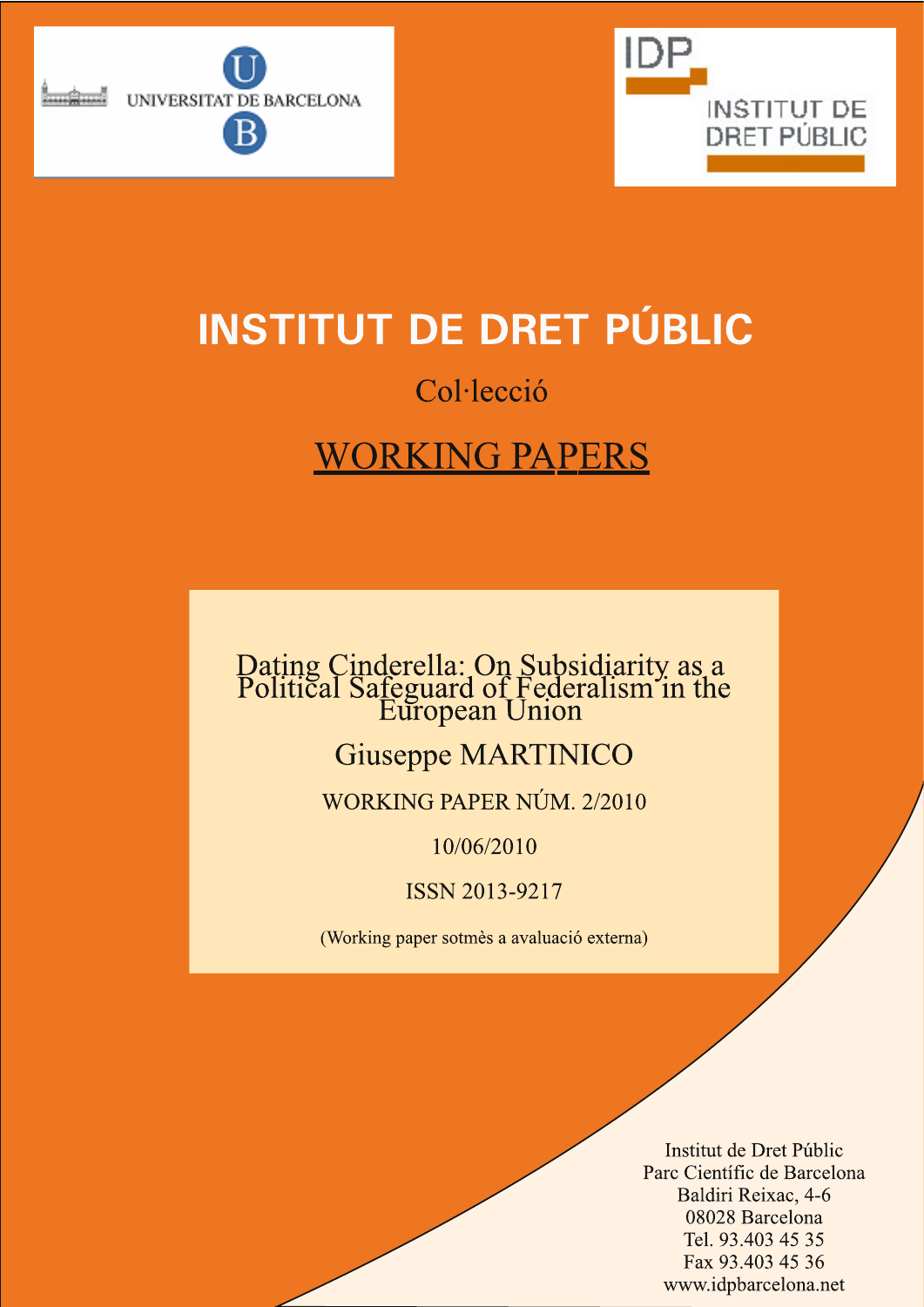



# **INSTITUT DE DRET PÚBLIC**

## Col·lecció

# **WORKING PAPERS**

Dating Cinderella: On Subsidiarity as a<br>Political Safeguard of Federalism in the<br>European Union

## **Giuseppe MARTINICO**

WORKING PAPER NÚM. 2/2010

10/06/2010

**ISSN 2013-9217** 

(Working paper sotmès a avaluació externa)

Institut de Dret Públic Parc Científic de Barcelona Baldiri Reixac, 4-6 08028 Barcelona Tel. 93.403 45 35 Fax 93.403 45 36 www.idpbarcelona.net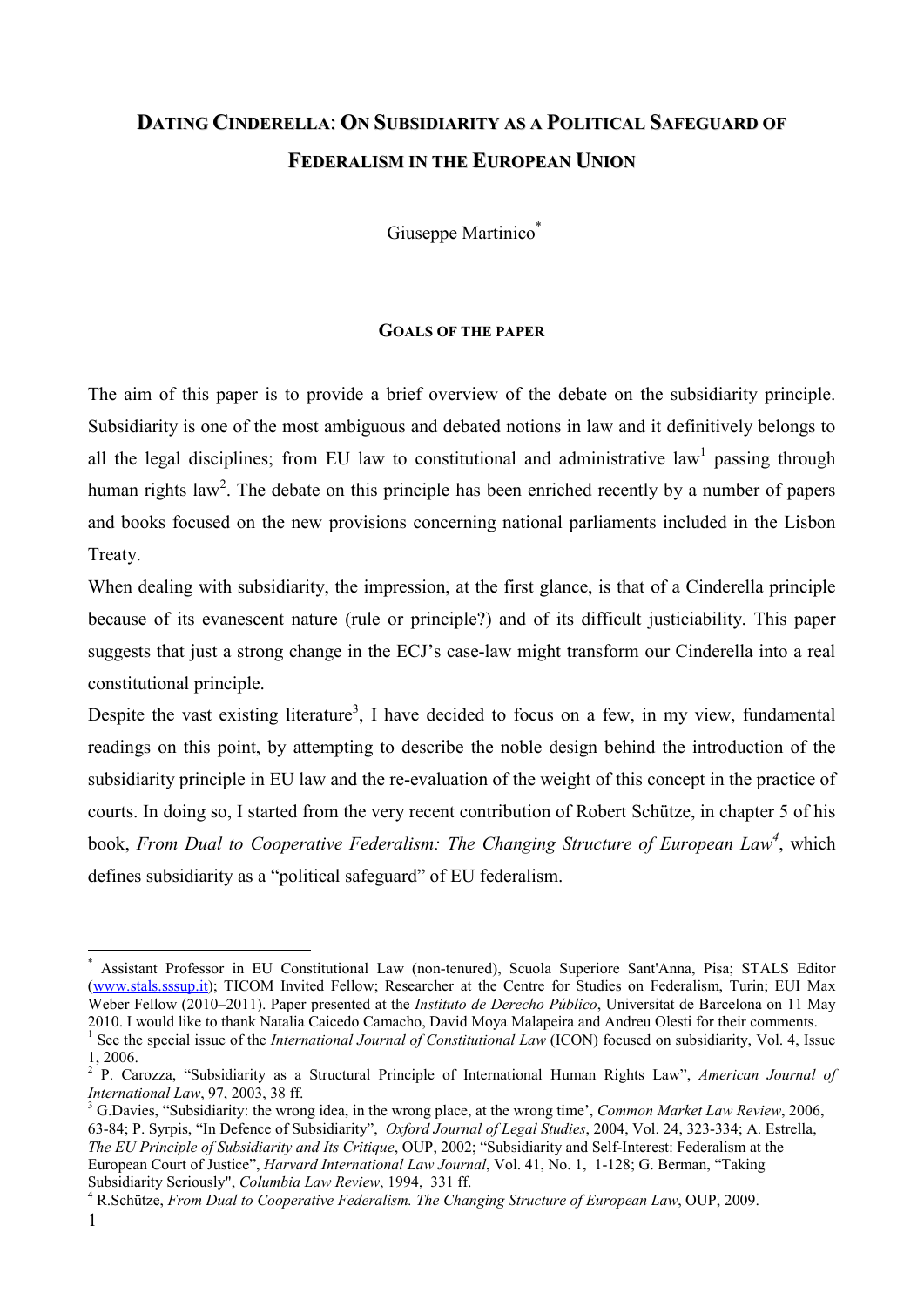## **DATING CINDERELLA**: **ON SUBSIDIARITY AS A POLITICAL SAFEGUARD OF FEDERALISM IN THE EUROPEAN UNION**

Giuseppe Martinico<sup>\*</sup>

### **GOALS OF THE PAPER**

The aim of this paper is to provide a brief overview of the debate on the subsidiarity principle. Subsidiarity is one of the most ambiguous and debated notions in law and it definitively belongs to all the legal disciplines; from EU law to constitutional and administrative law<sup>1</sup> passing through human rights law<sup>2</sup>. The debate on this principle has been enriched recently by a number of papers and books focused on the new provisions concerning national parliaments included in the Lisbon Treaty.

When dealing with subsidiarity, the impression, at the first glance, is that of a Cinderella principle because of its evanescent nature (rule or principle?) and of its difficult justiciability. This paper suggests that just a strong change in the ECJ's case-law might transform our Cinderella into a real constitutional principle.

Despite the vast existing literature<sup>3</sup>, I have decided to focus on a few, in my view, fundamental readings on this point, by attempting to describe the noble design behind the introduction of the subsidiarity principle in EU law and the re-evaluation of the weight of this concept in the practice of courts. In doing so, I started from the very recent contribution of Robert Schütze, in chapter 5 of his book, *From Dual to Cooperative Federalism: The Changing Structure of European Law<sup>4</sup>* , which defines subsidiarity as a "political safeguard" of EU federalism.

 $\overline{\phantom{a}}$ 

<sup>\*</sup> Assistant Professor in EU Constitutional Law (non-tenured), Scuola Superiore Sant'Anna, Pisa; STALS Editor (www.stals.sssup.it); TICOM Invited Fellow; Researcher at the Centre for Studies on Federalism, Turin; EUI Max Weber Fellow (2010–2011). Paper presented at the *Instituto de Derecho Público*, Universitat de Barcelona on 11 May 2010. I would like to thank Natalia Caicedo Camacho, David Moya Malapeira and Andreu Olesti for their comments.

<sup>&</sup>lt;sup>1</sup> See the special issue of the *International Journal of Constitutional Law* (ICON) focused on subsidiarity, Vol. 4, Issue 1, 2006. 2 P. Carozza, "Subsidiarity as a Structural Principle of International Human Rights Law", *American Journal of* 

*International Law*, 97, 2003, 38 ff.

<sup>3</sup> G.Davies, "Subsidiarity: the wrong idea, in the wrong place, at the wrong time', *Common Market Law Review*, 2006, 63-84; P. Syrpis, "In Defence of Subsidiarity", *Oxford Journal of Legal Studies*, 2004, Vol. 24, 323-334; A. Estrella, *The EU Principle of Subsidiarity and Its Critique*, OUP, 2002; "Subsidiarity and Self-Interest: Federalism at the European Court of Justice", *Harvard International Law Journal*, Vol. 41, No. 1, 1-128; G. Berman, "Taking Subsidiarity Seriously", *Columbia Law Review*, 1994, 331 ff.

<sup>4</sup> R.Schütze, *From Dual to Cooperative Federalism. The Changing Structure of European Law*, OUP, 2009.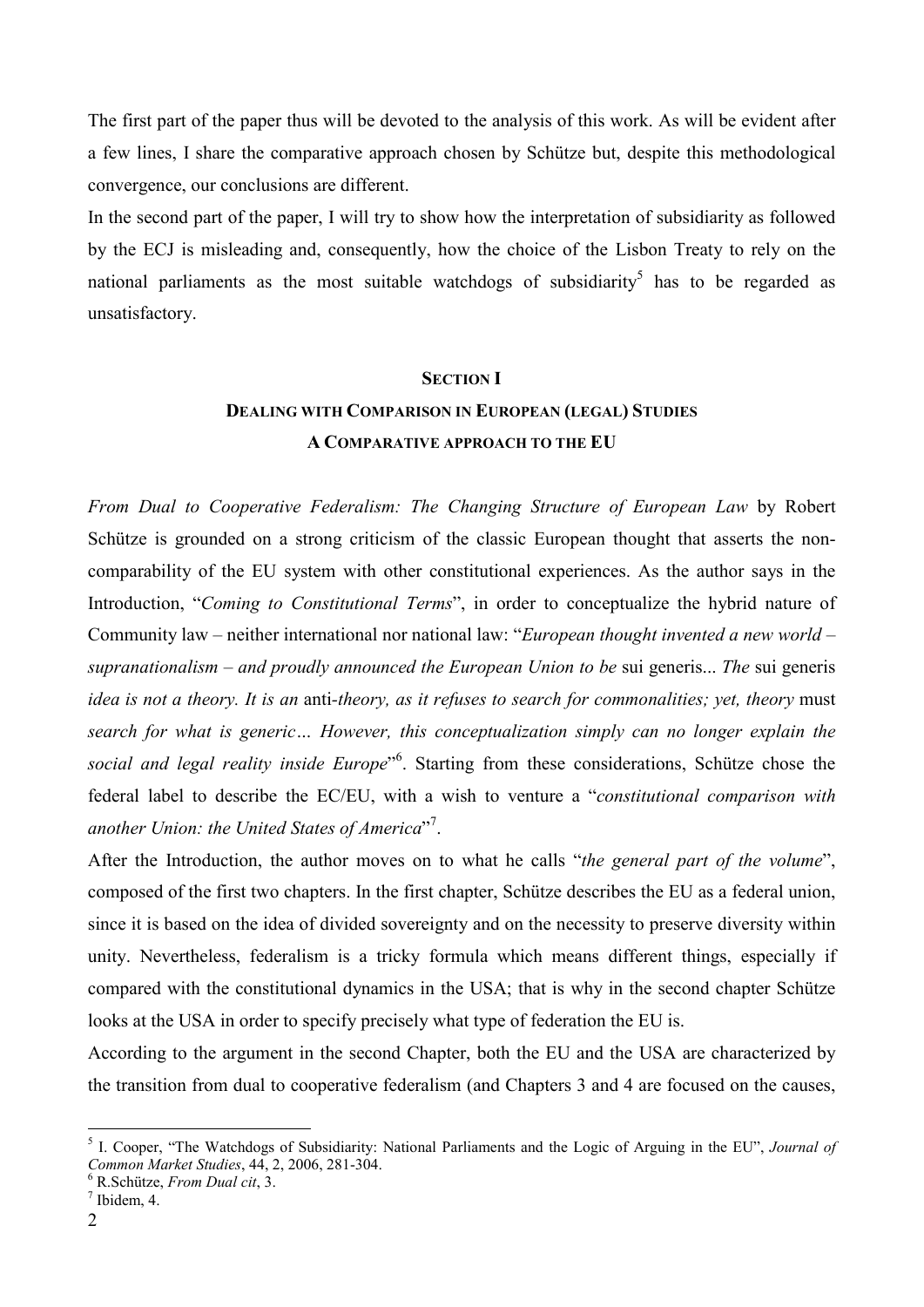The first part of the paper thus will be devoted to the analysis of this work. As will be evident after a few lines, I share the comparative approach chosen by Schütze but, despite this methodological convergence, our conclusions are different.

In the second part of the paper, I will try to show how the interpretation of subsidiarity as followed by the ECJ is misleading and, consequently, how the choice of the Lisbon Treaty to rely on the national parliaments as the most suitable watchdogs of subsidiarity<sup>5</sup> has to be regarded as unsatisfactory.

#### **SECTION I**

## **DEALING WITH COMPARISON IN EUROPEAN (LEGAL) STUDIES A COMPARATIVE APPROACH TO THE EU**

*From Dual to Cooperative Federalism: The Changing Structure of European Law* by Robert Schütze is grounded on a strong criticism of the classic European thought that asserts the noncomparability of the EU system with other constitutional experiences. As the author says in the Introduction, "*Coming to Constitutional Terms*", in order to conceptualize the hybrid nature of Community law – neither international nor national law: "*European thought invented a new world* – *supranationalism* – *and proudly announced the European Union to be* sui generis... *The* sui generis *idea is not a theory. It is an* anti*-theory, as it refuses to search for commonalities; yet, theory* must *search for what is generic… However, this conceptualization simply can no longer explain the*  social and legal reality inside Europe<sup>"6</sup>. Starting from these considerations, Schütze chose the federal label to describe the EC/EU, with a wish to venture a "*constitutional comparison with*  another Union: the United States of America"<sup>7</sup>.

After the Introduction, the author moves on to what he calls "*the general part of the volume*", composed of the first two chapters. In the first chapter, Schütze describes the EU as a federal union, since it is based on the idea of divided sovereignty and on the necessity to preserve diversity within unity. Nevertheless, federalism is a tricky formula which means different things, especially if compared with the constitutional dynamics in the USA; that is why in the second chapter Schütze looks at the USA in order to specify precisely what type of federation the EU is.

According to the argument in the second Chapter, both the EU and the USA are characterized by the transition from dual to cooperative federalism (and Chapters 3 and 4 are focused on the causes,

<sup>5</sup> I. Cooper, "The Watchdogs of Subsidiarity: National Parliaments and the Logic of Arguing in the EU", *Journal of Common Market Studies*, 44, 2, 2006, 281-304.

<sup>6</sup> R.Schütze, *From Dual cit*, 3.

 $<sup>7</sup>$  Ibidem, 4.</sup>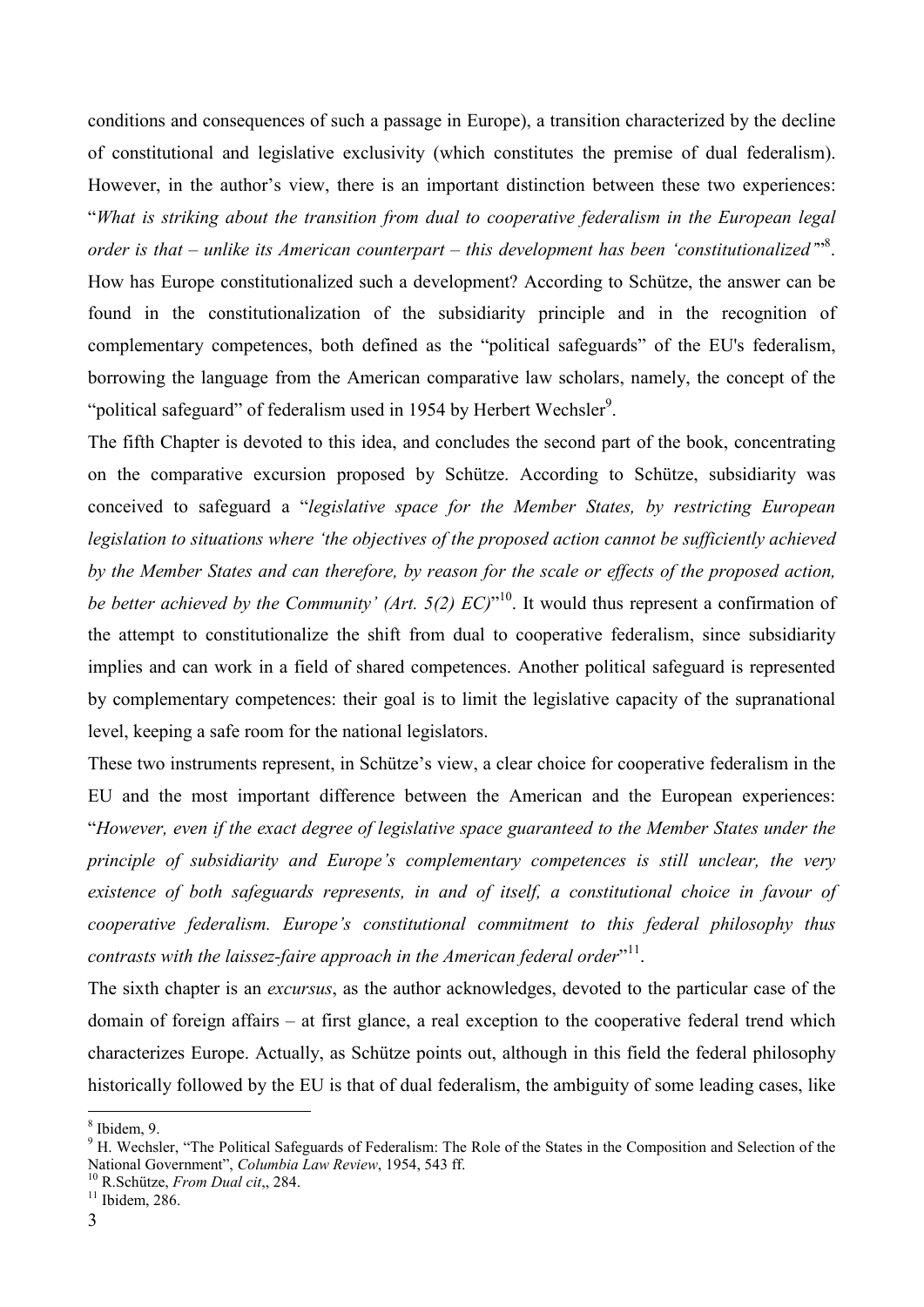conditions and consequences of such a passage in Europe), a transition characterized by the decline of constitutional and legislative exclusivity (which constitutes the premise of dual federalism). However, in the author's view, there is an important distinction between these two experiences: "*What is striking about the transition from dual to cooperative federalism in the European legal order is that – unlike its American counterpart – this development has been 'constitutionalized'*" 8 . How has Europe constitutionalized such a development? According to Schütze, the answer can be found in the constitutionalization of the subsidiarity principle and in the recognition of complementary competences, both defined as the "political safeguards" of the EU's federalism, borrowing the language from the American comparative law scholars, namely, the concept of the "political safeguard" of federalism used in 1954 by Herbert Wechsler<sup>9</sup>.

The fifth Chapter is devoted to this idea, and concludes the second part of the book, concentrating on the comparative excursion proposed by Schütze. According to Schütze, subsidiarity was conceived to safeguard a "*legislative space for the Member States, by restricting European legislation to situations where 'the objectives of the proposed action cannot be sufficiently achieved by the Member States and can therefore, by reason for the scale or effects of the proposed action,*  be better achieved by the Community' (Art. 5(2) EC)<sup>"10</sup>. It would thus represent a confirmation of the attempt to constitutionalize the shift from dual to cooperative federalism, since subsidiarity implies and can work in a field of shared competences. Another political safeguard is represented by complementary competences: their goal is to limit the legislative capacity of the supranational level, keeping a safe room for the national legislators.

These two instruments represent, in Schütze's view, a clear choice for cooperative federalism in the EU and the most important difference between the American and the European experiences: "*However, even if the exact degree of legislative space guaranteed to the Member States under the principle of subsidiarity and Europe's complementary competences is still unclear, the very existence of both safeguards represents, in and of itself, a constitutional choice in favour of cooperative federalism. Europe's constitutional commitment to this federal philosophy thus*  contrasts with the laissez-faire approach in the American federal order"<sup>11</sup>.

The sixth chapter is an *excursus*, as the author acknowledges, devoted to the particular case of the domain of foreign affairs – at first glance, a real exception to the cooperative federal trend which characterizes Europe. Actually, as Schütze points out, although in this field the federal philosophy historically followed by the EU is that of dual federalism, the ambiguity of some leading cases, like

 8 Ibidem, 9.

<sup>&</sup>lt;sup>9</sup> H. Wechsler, "The Political Safeguards of Federalism: The Role of the States in the Composition and Selection of the National Government", *Columbia Law Review*, 1954, 543 ff.

<sup>10</sup> R.Schütze, *From Dual cit*,, 284.

 $11$  Ibidem, 286.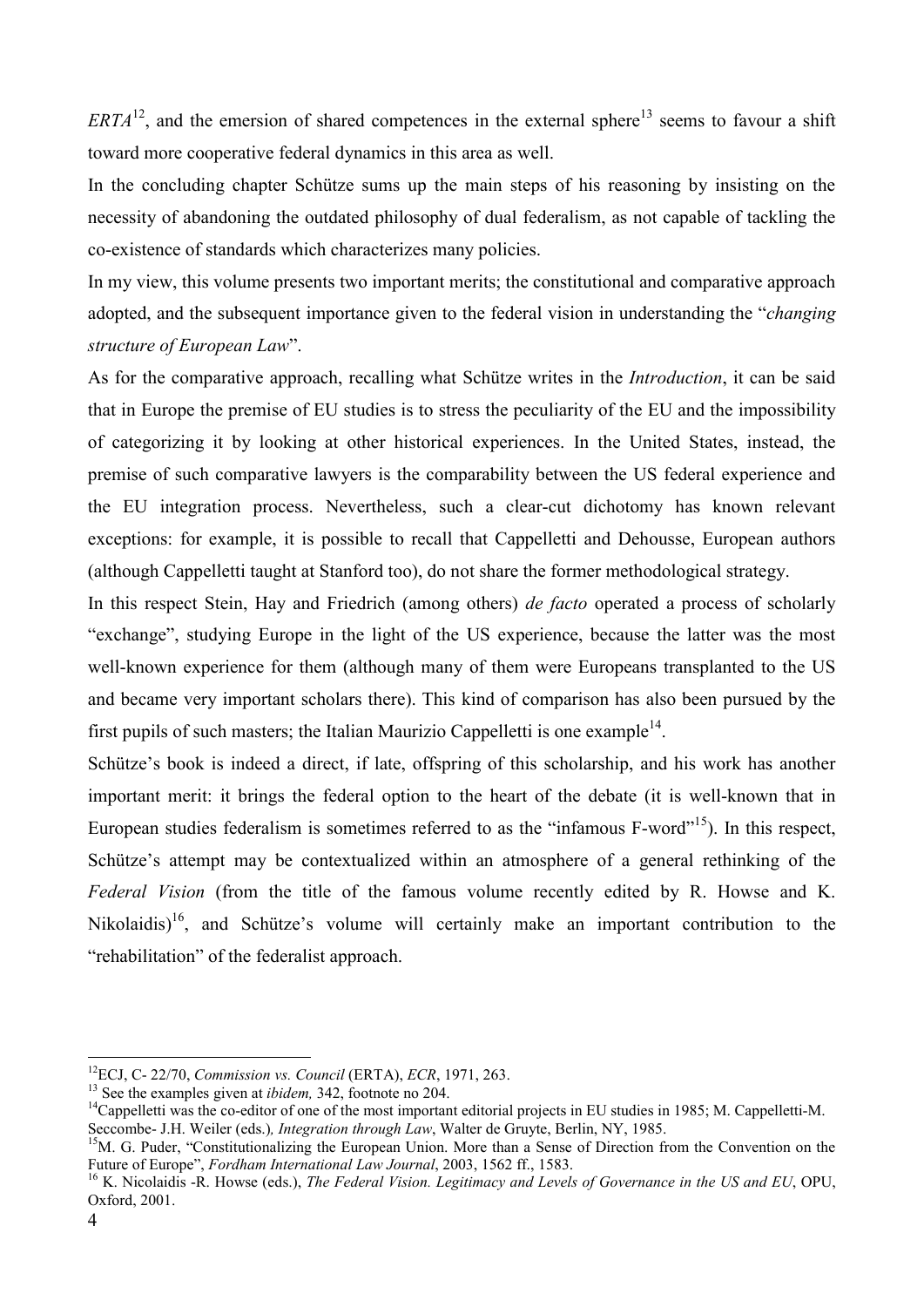$ERTA<sup>12</sup>$ , and the emersion of shared competences in the external sphere<sup>13</sup> seems to favour a shift toward more cooperative federal dynamics in this area as well.

In the concluding chapter Schütze sums up the main steps of his reasoning by insisting on the necessity of abandoning the outdated philosophy of dual federalism, as not capable of tackling the co-existence of standards which characterizes many policies.

In my view, this volume presents two important merits; the constitutional and comparative approach adopted, and the subsequent importance given to the federal vision in understanding the "*changing structure of European Law*".

As for the comparative approach, recalling what Schütze writes in the *Introduction*, it can be said that in Europe the premise of EU studies is to stress the peculiarity of the EU and the impossibility of categorizing it by looking at other historical experiences. In the United States, instead, the premise of such comparative lawyers is the comparability between the US federal experience and the EU integration process. Nevertheless, such a clear-cut dichotomy has known relevant exceptions: for example, it is possible to recall that Cappelletti and Dehousse, European authors (although Cappelletti taught at Stanford too), do not share the former methodological strategy.

In this respect Stein, Hay and Friedrich (among others) *de facto* operated a process of scholarly "exchange", studying Europe in the light of the US experience, because the latter was the most well-known experience for them (although many of them were Europeans transplanted to the US and became very important scholars there). This kind of comparison has also been pursued by the first pupils of such masters; the Italian Maurizio Cappelletti is one example<sup>14</sup>.

Schütze's book is indeed a direct, if late, offspring of this scholarship, and his work has another important merit: it brings the federal option to the heart of the debate (it is well-known that in European studies federalism is sometimes referred to as the "infamous F-word"<sup>15</sup>). In this respect, Schütze's attempt may be contextualized within an atmosphere of a general rethinking of the *Federal Vision* (from the title of the famous volume recently edited by R. Howse and K. Nikolaidis)<sup>16</sup>, and Schütze's volume will certainly make an important contribution to the "rehabilitation" of the federalist approach.

<sup>12</sup>ECJ, C- 22/70, *Commission vs. Council* (ERTA), *ECR*, 1971, 263.

<sup>&</sup>lt;sup>13</sup> See the examples given at *ibidem*, 342, footnote no 204.

<sup>&</sup>lt;sup>14</sup>Cappelletti was the co-editor of one of the most important editorial projects in EU studies in 1985; M. Cappelletti-M. Seccombe- J.H. Weiler (eds.)*, Integration through Law*, Walter de Gruyte, Berlin, NY, 1985.

<sup>&</sup>lt;sup>15</sup>M. G. Puder, "Constitutionalizing the European Union. More than a Sense of Direction from the Convention on the Future of Europe", *Fordham International Law Journal*, 2003, 1562 ff., 1583.

<sup>16</sup> K. Nicolaidis -R. Howse (eds.), *The Federal Vision. Legitimacy and Levels of Governance in the US and EU*, OPU, Oxford, 2001.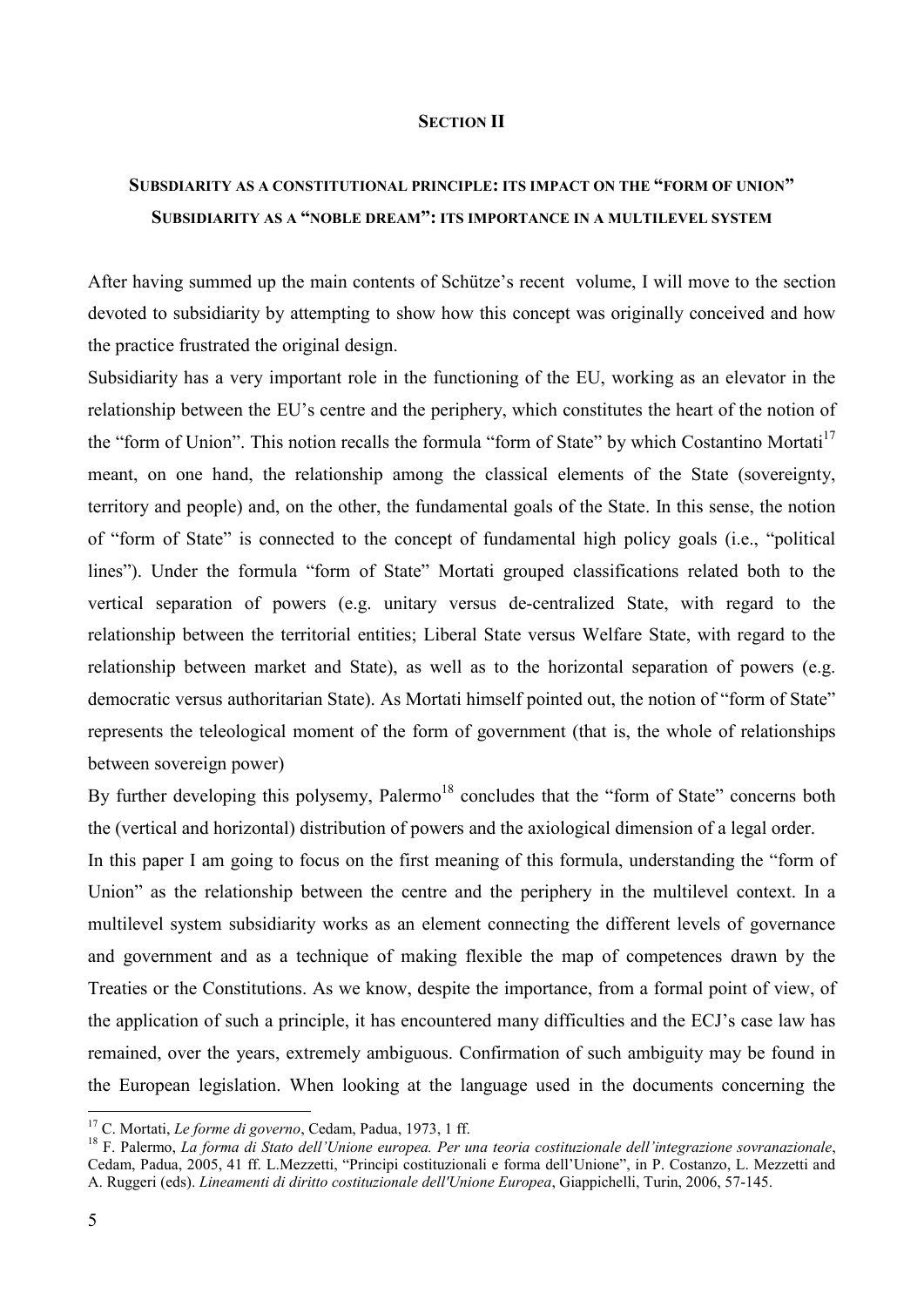#### **SECTION II**

## **SUBSDIARITY AS A CONSTITUTIONAL PRINCIPLE: ITS IMPACT ON THE "FORM OF UNION" SUBSIDIARITY AS A "NOBLE DREAM": ITS IMPORTANCE IN A MULTILEVEL SYSTEM**

After having summed up the main contents of Schütze's recent volume, I will move to the section devoted to subsidiarity by attempting to show how this concept was originally conceived and how the practice frustrated the original design.

Subsidiarity has a very important role in the functioning of the EU, working as an elevator in the relationship between the EU's centre and the periphery, which constitutes the heart of the notion of the "form of Union". This notion recalls the formula "form of State" by which Costantino Mortati<sup>17</sup> meant, on one hand, the relationship among the classical elements of the State (sovereignty, territory and people) and, on the other, the fundamental goals of the State. In this sense, the notion of "form of State" is connected to the concept of fundamental high policy goals (i.e., "political lines"). Under the formula "form of State" Mortati grouped classifications related both to the vertical separation of powers (e.g. unitary versus de-centralized State, with regard to the relationship between the territorial entities; Liberal State versus Welfare State, with regard to the relationship between market and State), as well as to the horizontal separation of powers (e.g. democratic versus authoritarian State). As Mortati himself pointed out, the notion of "form of State" represents the teleological moment of the form of government (that is, the whole of relationships between sovereign power)

By further developing this polysemy, Palermo<sup>18</sup> concludes that the "form of State" concerns both the (vertical and horizontal) distribution of powers and the axiological dimension of a legal order.

In this paper I am going to focus on the first meaning of this formula, understanding the "form of Union" as the relationship between the centre and the periphery in the multilevel context. In a multilevel system subsidiarity works as an element connecting the different levels of governance and government and as a technique of making flexible the map of competences drawn by the Treaties or the Constitutions. As we know, despite the importance, from a formal point of view, of the application of such a principle, it has encountered many difficulties and the ECJ's case law has remained, over the years, extremely ambiguous. Confirmation of such ambiguity may be found in the European legislation. When looking at the language used in the documents concerning the

<sup>17</sup> C. Mortati, *Le forme di governo*, Cedam, Padua, 1973, 1 ff.

<sup>18</sup> F. Palermo, *La forma di Stato dell'Unione europea. Per una teoria costituzionale dell'integrazione sovranazionale*, Cedam, Padua, 2005, 41 ff. L.Mezzetti, "Principi costituzionali e forma dell'Unione", in P. Costanzo, L. Mezzetti and A. Ruggeri (eds). *Lineamenti di diritto costituzionale dell'Unione Europea*, Giappichelli, Turin, 2006, 57-145.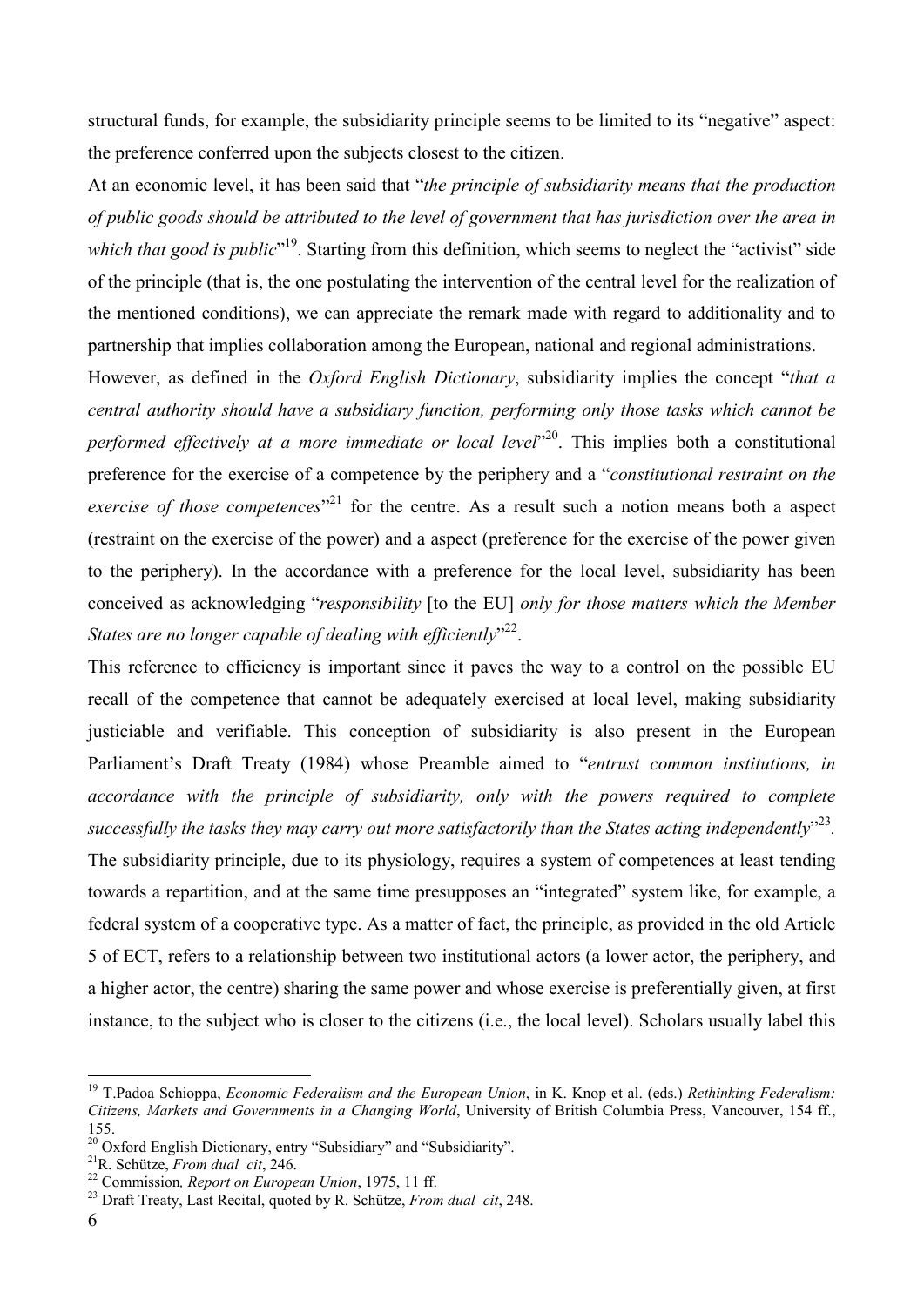structural funds, for example, the subsidiarity principle seems to be limited to its "negative" aspect: the preference conferred upon the subjects closest to the citizen.

At an economic level, it has been said that "*the principle of subsidiarity means that the production of public goods should be attributed to the level of government that has jurisdiction over the area in* which that good is public<sup>"19</sup>. Starting from this definition, which seems to neglect the "activist" side of the principle (that is, the one postulating the intervention of the central level for the realization of the mentioned conditions), we can appreciate the remark made with regard to additionality and to partnership that implies collaboration among the European, national and regional administrations.

However, as defined in the *Oxford English Dictionary*, subsidiarity implies the concept "*that a central authority should have a subsidiary function, performing only those tasks which cannot be performed effectively at a more immediate or local level*" <sup>20</sup>. This implies both a constitutional preference for the exercise of a competence by the periphery and a "*constitutional restraint on the*  exercise of those competences<sup>"21</sup> for the centre. As a result such a notion means both a aspect (restraint on the exercise of the power) and a aspect (preference for the exercise of the power given to the periphery). In the accordance with a preference for the local level, subsidiarity has been conceived as acknowledging "*responsibility* [to the EU] *only for those matters which the Member*  States are no longer capable of dealing with efficiently<sup>"22</sup>.

This reference to efficiency is important since it paves the way to a control on the possible EU recall of the competence that cannot be adequately exercised at local level, making subsidiarity justiciable and verifiable. This conception of subsidiarity is also present in the European Parliament's Draft Treaty (1984) whose Preamble aimed to "*entrust common institutions, in accordance with the principle of subsidiarity, only with the powers required to complete successfully the tasks they may carry out more satisfactorily than the States acting independently*" 23 *.*

The subsidiarity principle, due to its physiology, requires a system of competences at least tending towards a repartition, and at the same time presupposes an "integrated" system like, for example, a federal system of a cooperative type. As a matter of fact, the principle, as provided in the old Article 5 of ECT, refers to a relationship between two institutional actors (a lower actor, the periphery, and a higher actor, the centre) sharing the same power and whose exercise is preferentially given, at first instance, to the subject who is closer to the citizens (i.e., the local level). Scholars usually label this

<u>.</u>

<sup>19</sup> T.Padoa Schioppa, *Economic Federalism and the European Union*, in K. Knop et al. (eds.) *Rethinking Federalism: Citizens, Markets and Governments in a Changing World*, University of British Columbia Press, Vancouver, 154 ff., 155.

<sup>&</sup>lt;sup>20</sup> Oxford English Dictionary, entry "Subsidiary" and "Subsidiarity".

<sup>21</sup>R. Schütze, *From dual cit*, 246.

<sup>22</sup> Commission*, Report on European Union*, 1975, 11 ff.

<sup>23</sup> Draft Treaty, Last Recital, quoted by R. Schütze, *From dual cit*, 248.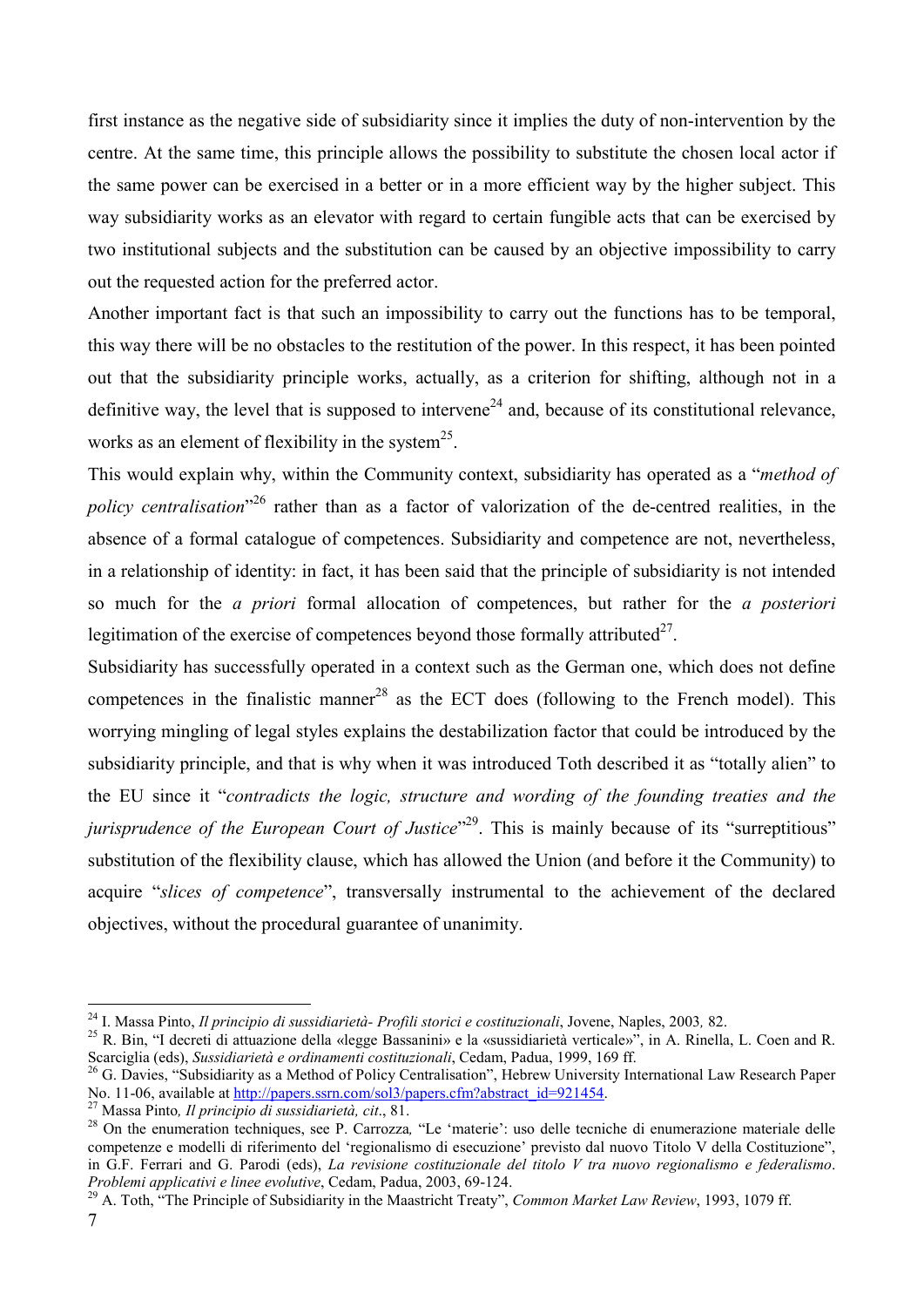first instance as the negative side of subsidiarity since it implies the duty of non-intervention by the centre. At the same time, this principle allows the possibility to substitute the chosen local actor if the same power can be exercised in a better or in a more efficient way by the higher subject. This way subsidiarity works as an elevator with regard to certain fungible acts that can be exercised by two institutional subjects and the substitution can be caused by an objective impossibility to carry out the requested action for the preferred actor.

Another important fact is that such an impossibility to carry out the functions has to be temporal, this way there will be no obstacles to the restitution of the power. In this respect, it has been pointed out that the subsidiarity principle works, actually, as a criterion for shifting, although not in a definitive way, the level that is supposed to intervene<sup>24</sup> and, because of its constitutional relevance, works as an element of flexibility in the system<sup>25</sup>.

This would explain why, within the Community context, subsidiarity has operated as a "*method of*  policy centralisation<sup>"26</sup> rather than as a factor of valorization of the de-centred realities, in the absence of a formal catalogue of competences. Subsidiarity and competence are not, nevertheless, in a relationship of identity: in fact, it has been said that the principle of subsidiarity is not intended so much for the *a priori* formal allocation of competences, but rather for the *a posteriori* legitimation of the exercise of competences beyond those formally attributed $2^7$ .

Subsidiarity has successfully operated in a context such as the German one, which does not define competences in the finalistic manner<sup>28</sup> as the ECT does (following to the French model). This worrying mingling of legal styles explains the destabilization factor that could be introduced by the subsidiarity principle, and that is why when it was introduced Toth described it as "totally alien" to the EU since it "*contradicts the logic, structure and wording of the founding treaties and the jurisprudence of the European Court of Justice*<sup>29</sup>. This is mainly because of its "surreptitious" substitution of the flexibility clause, which has allowed the Union (and before it the Community) to acquire "*slices of competence*", transversally instrumental to the achievement of the declared objectives, without the procedural guarantee of unanimity.

<sup>24</sup> I. Massa Pinto, *Il principio di sussidiarietà- Profili storici e costituzionali*, Jovene, Naples, 2003*,* 82.

<sup>&</sup>lt;sup>25</sup> R. Bin, "I decreti di attuazione della «legge Bassanini» e la «sussidiarietà verticale»<sup>7</sup>, in A. Rinella, L. Coen and R. Scarciglia (eds), *Sussidiarietà e ordinamenti costituzionali*, Cedam, Padua, 1999, 169 ff.

<sup>&</sup>lt;sup>26</sup> G. Davies, "Subsidiarity as a Method of Policy Centralisation", Hebrew University International Law Research Paper No. 11-06, available at http://papers.ssrn.com/sol3/papers.cfm?abstract\_id=921454.

<sup>27</sup> Massa Pinto*, Il principio di sussidiarietà, cit*., 81.

<sup>&</sup>lt;sup>28</sup> On the enumeration techniques, see P. Carrozza, "Le 'materie': uso delle tecniche di enumerazione materiale delle competenze e modelli di riferimento del 'regionalismo di esecuzione' previsto dal nuovo Titolo V della Costituzione", in G.F. Ferrari and G. Parodi (eds), *La revisione costituzionale del titolo V tra nuovo regionalismo e federalismo*. *Problemi applicativi e linee evolutive*, Cedam, Padua, 2003, 69-124.

<sup>7</sup>  <sup>29</sup> A. Toth, "The Principle of Subsidiarity in the Maastricht Treaty", *Common Market Law Review*, 1993, 1079 ff.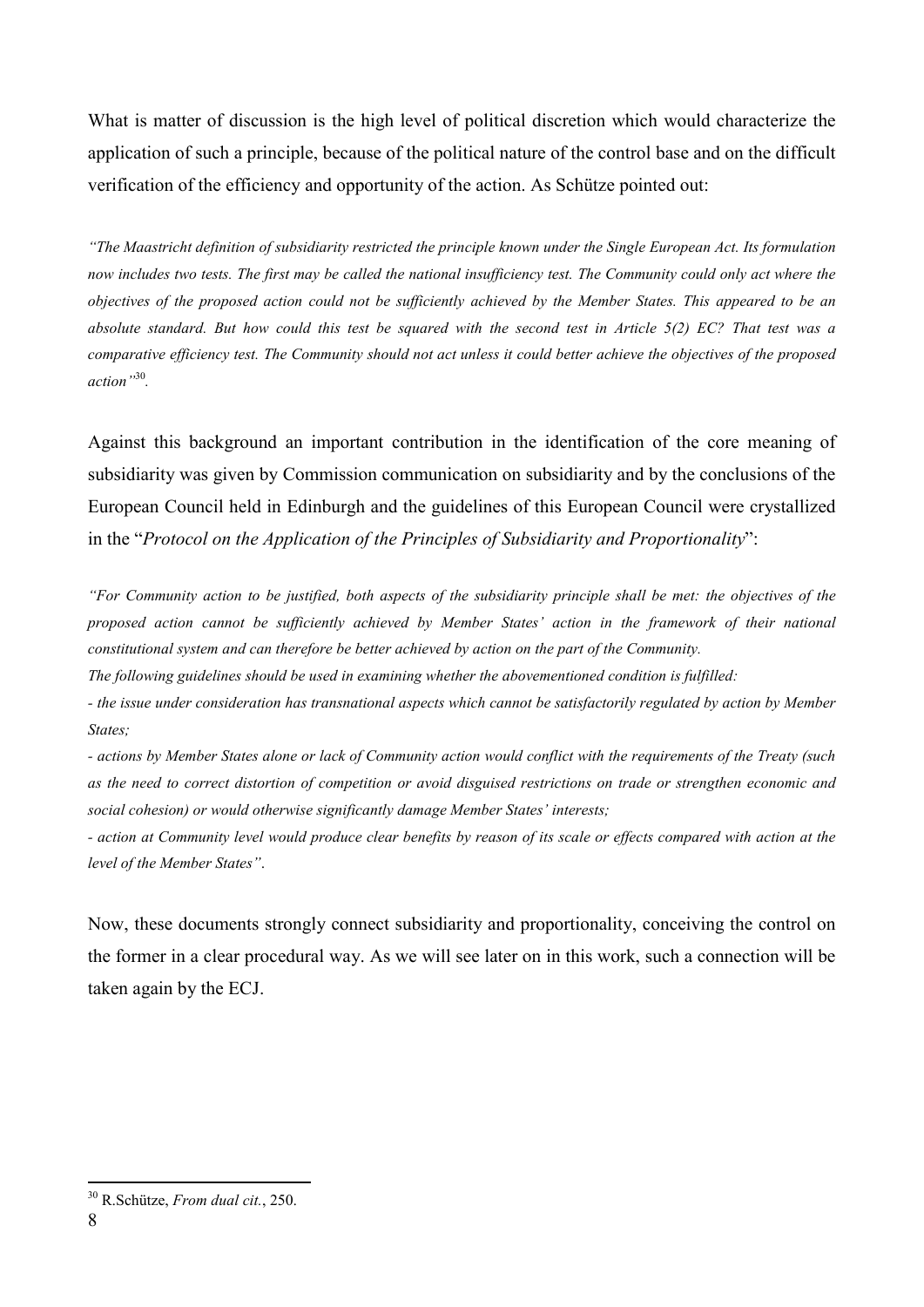What is matter of discussion is the high level of political discretion which would characterize the application of such a principle, because of the political nature of the control base and on the difficult verification of the efficiency and opportunity of the action. As Schütze pointed out:

*"The Maastricht definition of subsidiarity restricted the principle known under the Single European Act. Its formulation now includes two tests. The first may be called the national insufficiency test. The Community could only act where the objectives of the proposed action could not be sufficiently achieved by the Member States. This appeared to be an absolute standard. But how could this test be squared with the second test in Article 5(2) EC? That test was a comparative efficiency test. The Community should not act unless it could better achieve the objectives of the proposed action"*<sup>30</sup> *.*

Against this background an important contribution in the identification of the core meaning of subsidiarity was given by Commission communication on subsidiarity and by the conclusions of the European Council held in Edinburgh and the guidelines of this European Council were crystallized in the "*Protocol on the Application of the Principles of Subsidiarity and Proportionality*":

*"For Community action to be justified, both aspects of the subsidiarity principle shall be met: the objectives of the proposed action cannot be sufficiently achieved by Member States' action in the framework of their national constitutional system and can therefore be better achieved by action on the part of the Community.* 

*The following guidelines should be used in examining whether the abovementioned condition is fulfilled:* 

*- the issue under consideration has transnational aspects which cannot be satisfactorily regulated by action by Member States;* 

*- actions by Member States alone or lack of Community action would conflict with the requirements of the Treaty (such as the need to correct distortion of competition or avoid disguised restrictions on trade or strengthen economic and social cohesion) or would otherwise significantly damage Member States' interests;* 

*- action at Community level would produce clear benefits by reason of its scale or effects compared with action at the level of the Member States"*.

Now, these documents strongly connect subsidiarity and proportionality, conceiving the control on the former in a clear procedural way. As we will see later on in this work, such a connection will be taken again by the ECJ.

1

<sup>30</sup> R.Schütze, *From dual cit.*, 250.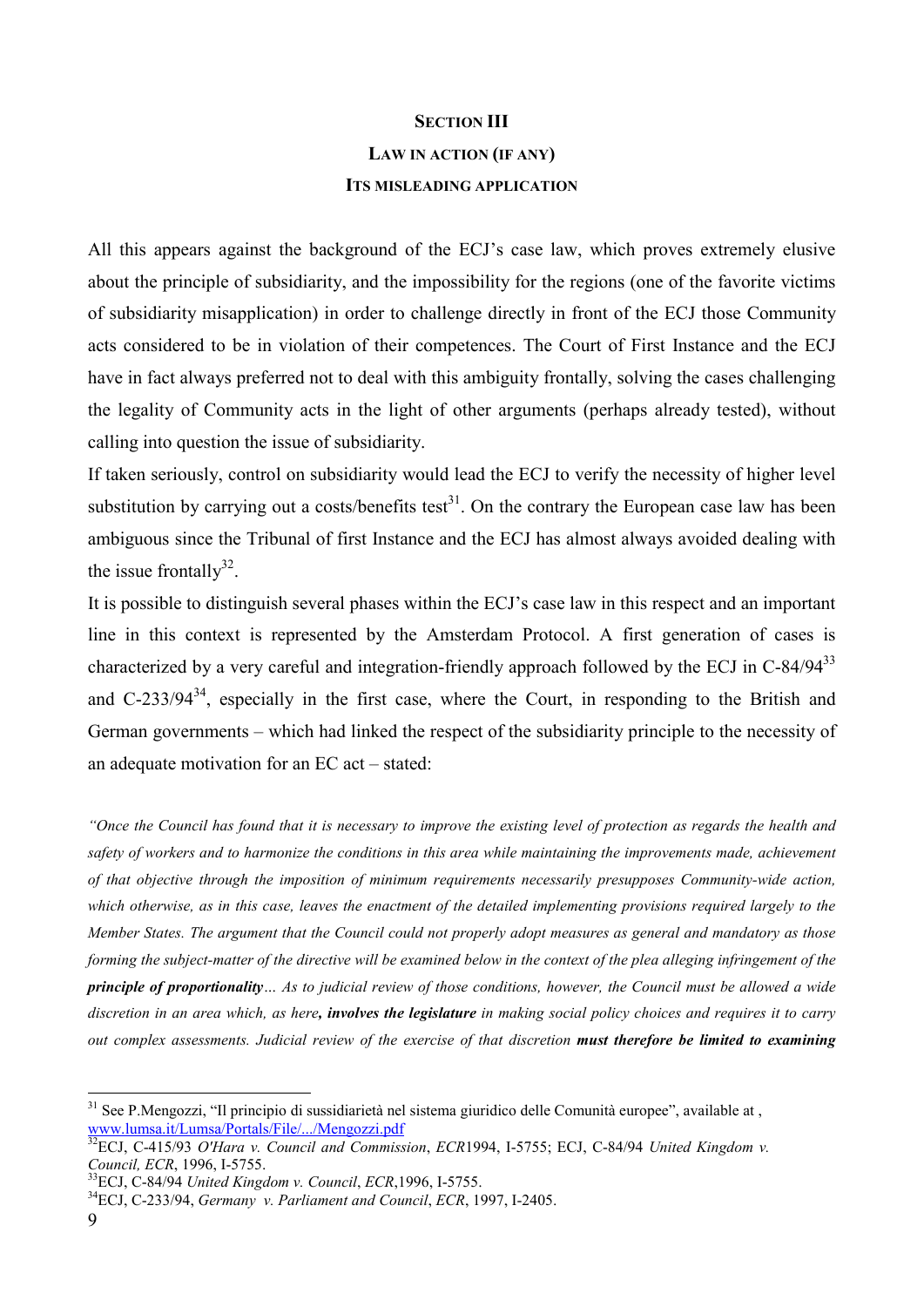#### **SECTION III**

## **LAW IN ACTION (IF ANY) ITS MISLEADING APPLICATION**

All this appears against the background of the ECJ's case law, which proves extremely elusive about the principle of subsidiarity, and the impossibility for the regions (one of the favorite victims of subsidiarity misapplication) in order to challenge directly in front of the ECJ those Community acts considered to be in violation of their competences. The Court of First Instance and the ECJ have in fact always preferred not to deal with this ambiguity frontally, solving the cases challenging the legality of Community acts in the light of other arguments (perhaps already tested), without calling into question the issue of subsidiarity.

If taken seriously, control on subsidiarity would lead the ECJ to verify the necessity of higher level substitution by carrying out a costs/benefits test<sup>31</sup>. On the contrary the European case law has been ambiguous since the Tribunal of first Instance and the ECJ has almost always avoided dealing with the issue frontally $32$ .

It is possible to distinguish several phases within the ECJ's case law in this respect and an important line in this context is represented by the Amsterdam Protocol. A first generation of cases is characterized by a very careful and integration-friendly approach followed by the ECJ in  $C$ -84/94<sup>33</sup> and  $C$ -233/94<sup>34</sup>, especially in the first case, where the Court, in responding to the British and German governments – which had linked the respect of the subsidiarity principle to the necessity of an adequate motivation for an EC act – stated:

*"Once the Council has found that it is necessary to improve the existing level of protection as regards the health and safety of workers and to harmonize the conditions in this area while maintaining the improvements made, achievement of that objective through the imposition of minimum requirements necessarily presupposes Community-wide action, which otherwise, as in this case, leaves the enactment of the detailed implementing provisions required largely to the Member States. The argument that the Council could not properly adopt measures as general and mandatory as those forming the subject-matter of the directive will be examined below in the context of the plea alleging infringement of the principle of proportionality… As to judicial review of those conditions, however, the Council must be allowed a wide discretion in an area which, as here, involves the legislature in making social policy choices and requires it to carry out complex assessments. Judicial review of the exercise of that discretion must therefore be limited to examining* 

<u>.</u>

<sup>&</sup>lt;sup>31</sup> See P.Mengozzi, "Il principio di sussidiarietà nel sistema giuridico delle Comunità europee", available at , www.lumsa.it/Lumsa/Portals/File/.../Mengozzi.pdf

<sup>32</sup>ECJ, C-415/93 *O'Hara v. Council and Commission*, *ECR*1994, I-5755; ECJ, C-84/94 *United Kingdom v. Council, ECR*, 1996, I-5755.

<sup>33</sup>ECJ, C-84/94 *United Kingdom v. Council*, *ECR*,1996, I-5755.

<sup>34</sup>ECJ, C-233/94, *Germany v. Parliament and Council*, *ECR*, 1997, I-2405.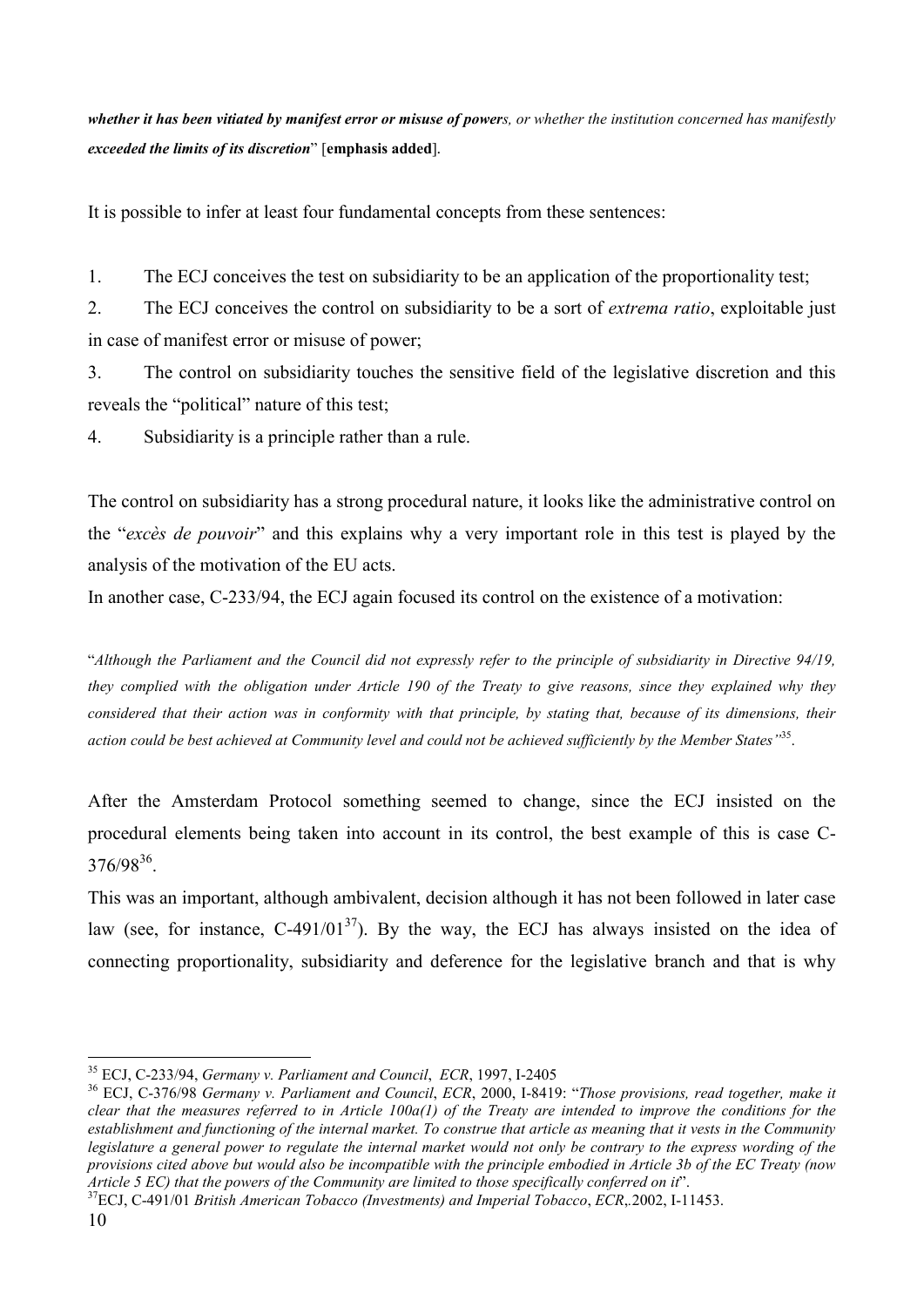*whether it has been vitiated by manifest error or misuse of powers, or whether the institution concerned has manifestly exceeded the limits of its discretion*" [**emphasis added**]*.* 

It is possible to infer at least four fundamental concepts from these sentences:

1. The ECJ conceives the test on subsidiarity to be an application of the proportionality test;

2. The ECJ conceives the control on subsidiarity to be a sort of *extrema ratio*, exploitable just in case of manifest error or misuse of power;

3. The control on subsidiarity touches the sensitive field of the legislative discretion and this reveals the "political" nature of this test;

4. Subsidiarity is a principle rather than a rule.

The control on subsidiarity has a strong procedural nature, it looks like the administrative control on the "*excès de pouvoir*" and this explains why a very important role in this test is played by the analysis of the motivation of the EU acts.

In another case, C-233/94, the ECJ again focused its control on the existence of a motivation:

"*Although the Parliament and the Council did not expressly refer to the principle of subsidiarity in Directive 94/19, they complied with the obligation under Article 190 of the Treaty to give reasons, since they explained why they considered that their action was in conformity with that principle, by stating that, because of its dimensions, their action could be best achieved at Community level and could not be achieved sufficiently by the Member States"*<sup>35</sup> .

After the Amsterdam Protocol something seemed to change, since the ECJ insisted on the procedural elements being taken into account in its control, the best example of this is case C-376/98<sup>36</sup> .

This was an important, although ambivalent, decision although it has not been followed in later case law (see, for instance,  $C^{-491/01^{37}}$ ). By the way, the ECJ has always insisted on the idea of connecting proportionality, subsidiarity and deference for the legislative branch and that is why

<sup>-</sup><sup>35</sup> ECJ, C-233/94, *Germany v. Parliament and Council*, *ECR*, 1997, I-2405

<sup>36</sup> ECJ, C-376/98 *Germany v. Parliament and Council*, *ECR*, 2000, I-8419: "*Those provisions, read together, make it clear that the measures referred to in Article 100a(1) of the Treaty are intended to improve the conditions for the establishment and functioning of the internal market. To construe that article as meaning that it vests in the Community legislature a general power to regulate the internal market would not only be contrary to the express wording of the provisions cited above but would also be incompatible with the principle embodied in Article 3b of the EC Treaty (now Article 5 EC) that the powers of the Community are limited to those specifically conferred on it*".

<sup>37</sup>ECJ, C-491/01 *British American Tobacco (Investments) and Imperial Tobacco*, *ECR*,*.*2002, I-11453.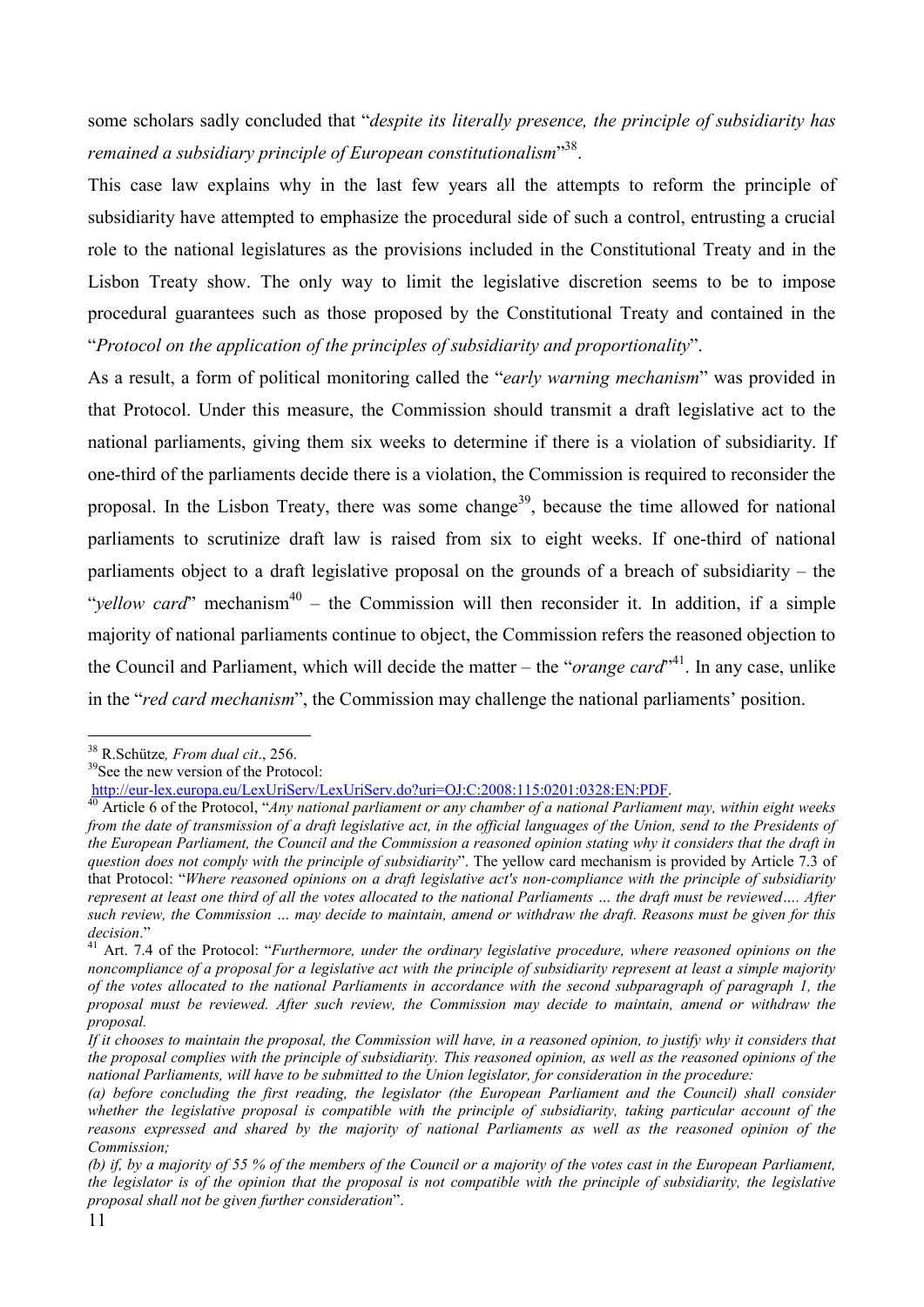some scholars sadly concluded that "*despite its literally presence, the principle of subsidiarity has remained a subsidiary principle of European constitutionalism*" 38 .

This case law explains why in the last few years all the attempts to reform the principle of subsidiarity have attempted to emphasize the procedural side of such a control, entrusting a crucial role to the national legislatures as the provisions included in the Constitutional Treaty and in the Lisbon Treaty show. The only way to limit the legislative discretion seems to be to impose procedural guarantees such as those proposed by the Constitutional Treaty and contained in the "*Protocol on the application of the principles of subsidiarity and proportionality*".

As a result, a form of political monitoring called the "*early warning mechanism*" was provided in that Protocol. Under this measure, the Commission should transmit a draft legislative act to the national parliaments, giving them six weeks to determine if there is a violation of subsidiarity. If one-third of the parliaments decide there is a violation, the Commission is required to reconsider the proposal. In the Lisbon Treaty, there was some change<sup>39</sup>, because the time allowed for national parliaments to scrutinize draft law is raised from six to eight weeks. If one-third of national parliaments object to a draft legislative proposal on the grounds of a breach of subsidiarity – the "*yellow card*" mechanism<sup>40</sup> – the Commission will then reconsider it. In addition, if a simple majority of national parliaments continue to object, the Commission refers the reasoned objection to the Council and Parliament, which will decide the matter – the "*orange card*"<sup>41</sup>. In any case, unlike in the "*red card mechanism*", the Commission may challenge the national parliaments' position.

<sup>38</sup> R.Schütze*, From dual cit*., 256.

<sup>&</sup>lt;sup>39</sup>See the new version of the Protocol:

http://eur-lex.europa.eu/LexUriServ/LexUriServ.do?uri=OJ:C:2008:115:0201:0328:EN:PDF.

<sup>40</sup> Article 6 of the Protocol, "*Any national parliament or any chamber of a national Parliament may, within eight weeks from the date of transmission of a draft legislative act, in the official languages of the Union, send to the Presidents of the European Parliament, the Council and the Commission a reasoned opinion stating why it considers that the draft in question does not comply with the principle of subsidiarity*". The yellow card mechanism is provided by Article 7.3 of that Protocol: "*Where reasoned opinions on a draft legislative act's non-compliance with the principle of subsidiarity represent at least one third of all the votes allocated to the national Parliaments … the draft must be reviewed…. After such review, the Commission … may decide to maintain, amend or withdraw the draft. Reasons must be given for this decision*."

<sup>&</sup>lt;sup>41</sup> Art. 7.4 of the Protocol: "*Furthermore, under the ordinary legislative procedure, where reasoned opinions on the noncompliance of a proposal for a legislative act with the principle of subsidiarity represent at least a simple majority of the votes allocated to the national Parliaments in accordance with the second subparagraph of paragraph 1, the proposal must be reviewed. After such review, the Commission may decide to maintain, amend or withdraw the proposal.* 

*If it chooses to maintain the proposal, the Commission will have, in a reasoned opinion, to justify why it considers that the proposal complies with the principle of subsidiarity. This reasoned opinion, as well as the reasoned opinions of the national Parliaments, will have to be submitted to the Union legislator, for consideration in the procedure:* 

*<sup>(</sup>a) before concluding the first reading, the legislator (the European Parliament and the Council) shall consider whether the legislative proposal is compatible with the principle of subsidiarity, taking particular account of the reasons expressed and shared by the majority of national Parliaments as well as the reasoned opinion of the Commission;* 

*<sup>(</sup>b) if, by a majority of 55 % of the members of the Council or a majority of the votes cast in the European Parliament, the legislator is of the opinion that the proposal is not compatible with the principle of subsidiarity, the legislative proposal shall not be given further consideration*".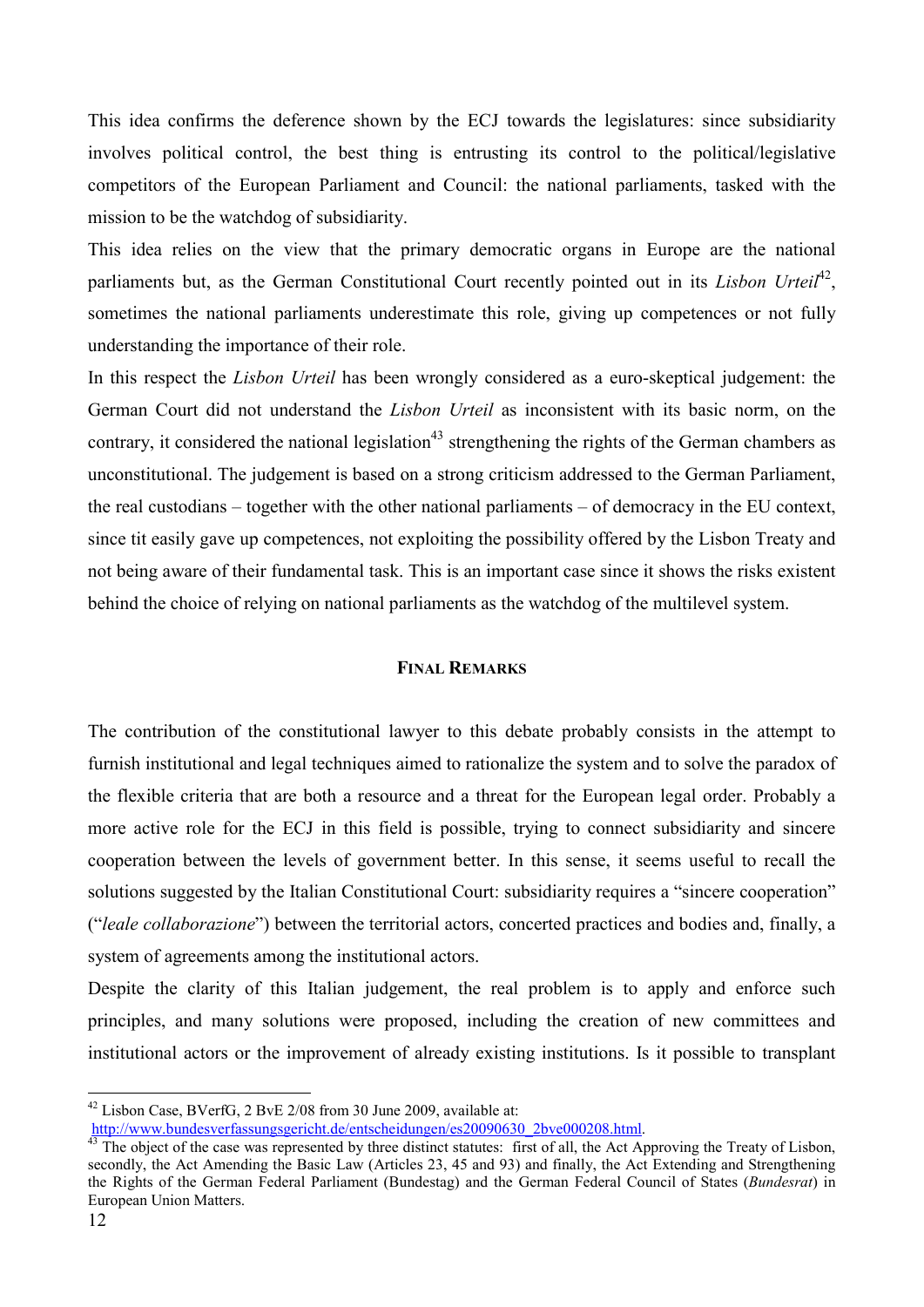This idea confirms the deference shown by the ECJ towards the legislatures: since subsidiarity involves political control, the best thing is entrusting its control to the political/legislative competitors of the European Parliament and Council: the national parliaments, tasked with the mission to be the watchdog of subsidiarity.

This idea relies on the view that the primary democratic organs in Europe are the national parliaments but, as the German Constitutional Court recently pointed out in its *Lisbon Urteil*<sup>42</sup>, sometimes the national parliaments underestimate this role, giving up competences or not fully understanding the importance of their role.

In this respect the *Lisbon Urteil* has been wrongly considered as a euro-skeptical judgement: the German Court did not understand the *Lisbon Urteil* as inconsistent with its basic norm, on the contrary, it considered the national legislation<sup>43</sup> strengthening the rights of the German chambers as unconstitutional. The judgement is based on a strong criticism addressed to the German Parliament, the real custodians – together with the other national parliaments – of democracy in the EU context, since tit easily gave up competences, not exploiting the possibility offered by the Lisbon Treaty and not being aware of their fundamental task. This is an important case since it shows the risks existent behind the choice of relying on national parliaments as the watchdog of the multilevel system.

### **FINAL REMARKS**

The contribution of the constitutional lawyer to this debate probably consists in the attempt to furnish institutional and legal techniques aimed to rationalize the system and to solve the paradox of the flexible criteria that are both a resource and a threat for the European legal order. Probably a more active role for the ECJ in this field is possible, trying to connect subsidiarity and sincere cooperation between the levels of government better. In this sense, it seems useful to recall the solutions suggested by the Italian Constitutional Court: subsidiarity requires a "sincere cooperation" ("*leale collaborazione*") between the territorial actors, concerted practices and bodies and, finally, a system of agreements among the institutional actors.

Despite the clarity of this Italian judgement, the real problem is to apply and enforce such principles, and many solutions were proposed, including the creation of new committees and institutional actors or the improvement of already existing institutions. Is it possible to transplant

<u>.</u>

 $42$  Lisbon Case, BVerfG, 2 BvE 2/08 from 30 June 2009, available at: http://www.bundesverfassungsgericht.de/entscheidungen/es20090630\_2bve000208.html.

<sup>&</sup>lt;sup>43</sup> The object of the case was represented by three distinct statutes: first of all, the Act Approving the Treaty of Lisbon, secondly, the Act Amending the Basic Law (Articles 23, 45 and 93) and finally, the Act Extending and Strengthening the Rights of the German Federal Parliament (Bundestag) and the German Federal Council of States (*Bundesrat*) in European Union Matters.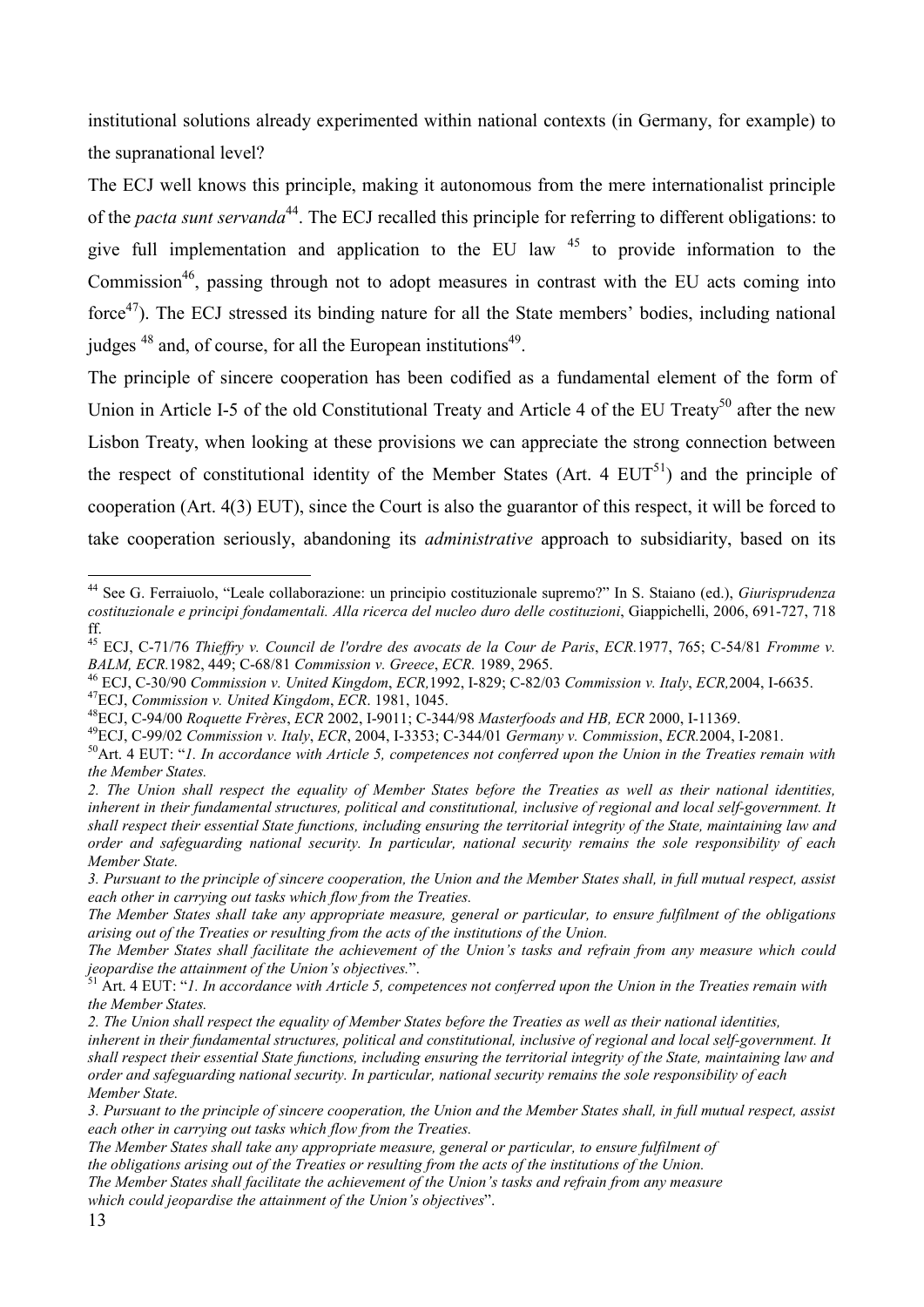institutional solutions already experimented within national contexts (in Germany, for example) to the supranational level?

The ECJ well knows this principle, making it autonomous from the mere internationalist principle of the *pacta sunt servanda*<sup>44</sup>. The ECJ recalled this principle for referring to different obligations: to give full implementation and application to the EU law  $45$  to provide information to the Commission<sup>46</sup>, passing through not to adopt measures in contrast with the EU acts coming into force<sup>47</sup>). The ECJ stressed its binding nature for all the State members' bodies, including national judges  $48$  and, of course, for all the European institutions<sup>49</sup>.

The principle of sincere cooperation has been codified as a fundamental element of the form of Union in Article I-5 of the old Constitutional Treaty and Article 4 of the EU Treaty<sup>50</sup> after the new Lisbon Treaty, when looking at these provisions we can appreciate the strong connection between the respect of constitutional identity of the Member States (Art. 4  $EUT^{51}$ ) and the principle of cooperation (Art. 4(3) EUT), since the Court is also the guarantor of this respect, it will be forced to take cooperation seriously, abandoning its *administrative* approach to subsidiarity, based on its

<sup>47</sup>ECJ, *Commission v. United Kingdom*, *ECR*. 1981, 1045.

<sup>48</sup>ECJ, C-94/00 *Roquette Frères*, *ECR* 2002, I-9011; C-344/98 *Masterfoods and HB, ECR* 2000, I-11369.

*which could jeopardise the attainment of the Union's objectives*".

<sup>-</sup><sup>44</sup> See G. Ferraiuolo, "Leale collaborazione: un principio costituzionale supremo?" In S. Staiano (ed.), *Giurisprudenza costituzionale e principi fondamentali. Alla ricerca del nucleo duro delle costituzioni*, Giappichelli, 2006, 691-727, 718 ff.

<sup>45</sup> ECJ, C-71/76 *Thieffry v. Council de l'ordre des avocats de la Cour de Paris*, *ECR.*1977, 765; C-54/81 *Fromme v. BALM, ECR.*1982, 449; C-68/81 *Commission v. Greece*, *ECR.* 1989, 2965.

<sup>46</sup> ECJ, C-30/90 *Commission v. United Kingdom*, *ECR,*1992, I-829; C-82/03 *Commission v. Italy*, *ECR,*2004, I-6635.

<sup>49</sup>ECJ, C-99/02 *Commission v. Italy*, *ECR*, 2004, I-3353; C-344/01 *Germany v. Commission*, *ECR.*2004, I-2081.

<sup>50</sup>Art. 4 EUT: "*1. In accordance with Article 5, competences not conferred upon the Union in the Treaties remain with the Member States.* 

*<sup>2.</sup> The Union shall respect the equality of Member States before the Treaties as well as their national identities, inherent in their fundamental structures, political and constitutional, inclusive of regional and local self-government. It shall respect their essential State functions, including ensuring the territorial integrity of the State, maintaining law and order and safeguarding national security. In particular, national security remains the sole responsibility of each Member State.* 

*<sup>3.</sup> Pursuant to the principle of sincere cooperation, the Union and the Member States shall, in full mutual respect, assist each other in carrying out tasks which flow from the Treaties.* 

*The Member States shall take any appropriate measure, general or particular, to ensure fulfilment of the obligations arising out of the Treaties or resulting from the acts of the institutions of the Union.* 

*The Member States shall facilitate the achievement of the Union's tasks and refrain from any measure which could jeopardise the attainment of the Union's objectives.*".

<sup>51</sup> Art. 4 EUT: "*1. In accordance with Article 5, competences not conferred upon the Union in the Treaties remain with the Member States.* 

*<sup>2.</sup> The Union shall respect the equality of Member States before the Treaties as well as their national identities, inherent in their fundamental structures, political and constitutional, inclusive of regional and local self-government. It shall respect their essential State functions, including ensuring the territorial integrity of the State, maintaining law and order and safeguarding national security. In particular, national security remains the sole responsibility of each Member State.* 

*<sup>3.</sup> Pursuant to the principle of sincere cooperation, the Union and the Member States shall, in full mutual respect, assist each other in carrying out tasks which flow from the Treaties.* 

*The Member States shall take any appropriate measure, general or particular, to ensure fulfilment of the obligations arising out of the Treaties or resulting from the acts of the institutions of the Union. The Member States shall facilitate the achievement of the Union's tasks and refrain from any measure*